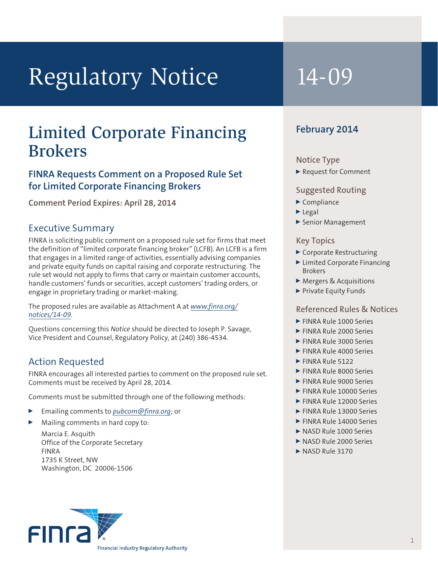# Regulatory Notice 14-09

## Limited Corporate Financing Brokers

#### **FINRA Requests Comment on a Proposed Rule Set for Limited Corporate Financing Brokers**

**Comment Period Expires: April 28, 2014**

#### Executive Summary

FINRA is soliciting public comment on a proposed rule set for firms that meet the definition of "limited corporate financing broker" (LCFB). An LCFB is a firm that engages in a limited range of activities, essentially advising companies and private equity funds on capital raising and corporate restructuring. The rule set would not apply to firms that carry or maintain customer accounts, handle customers' funds or securities, accept customers' trading orders, or engage in proprietary trading or market-making.

The proposed rules are available as Attachment A at *[www.finra.org/](http://www.finra.org/notices/14-09) [notices/14-](http://www.finra.org/notices/14-09)09.*

Questions concerning this *Notice* should be directed to Joseph P. Savage, Vice President and Counsel, Regulatory Policy, at (240) 386-4534.

#### Action Requested

FINRA encourages all interested parties to comment on the proposed rule set. Comments must be received by April 28, 2014.

Comments must be submitted through one of the following methods:

- <sup>0</sup> Emailing comments to *[pubcom@finra.org](mailto:pubcom@finra.org)*; or
- Mailing comments in hard copy to:
	- Marcia E. Asquith Office of the Corporate Secretary FINRA 1735 K Street, NW Washington, DC 20006-1506

### **February 2014**

#### Notice Type

▶ Request for Comment

#### Suggested Routing

- $\blacktriangleright$  Compliance
- $\blacktriangleright$  Legal
- Senior Management

#### Key Topics

- ▶ Corporate Restructuring
- ▶ Limited Corporate Financing Brokers
- Mergers & Acquisitions
- Private Equity Funds

#### Referenced Rules & Notices

- **FINRA Rule 1000 Series**
- **FINRA Rule 2000 Series**
- FINRA Rule 3000 Series
- FINRA Rule 4000 Series
- $\blacktriangleright$  FINRA Rule 5122
- **FINRA Rule 8000 Series**
- FINRA Rule 9000 Series
- **FINRA Rule 10000 Series**
- **FINRA Rule 12000 Series**
- ▶ FINRA Rule 13000 Series
- **FINRA Rule 14000 Series**
- NASD Rule 1000 Series
- NASD Rule 2000 Series
- $\triangleright$  NASD Rule 3170

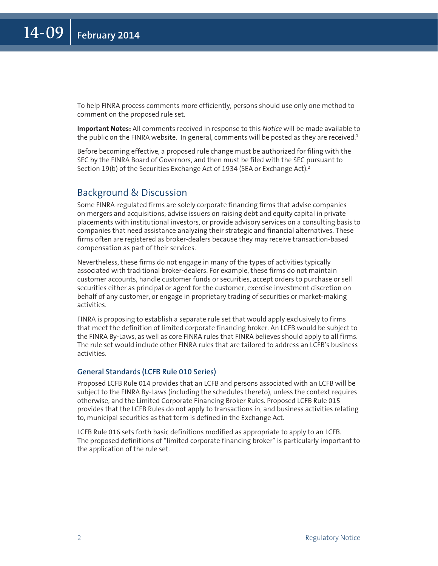To help FINRA process comments more efficiently, persons should use only one method to comment on the proposed rule set.

**Important Notes:** All comments received in response to this *Notice* will be made available to the public on the FINRA website. In general, comments will be posted as they are received. $1$ 

Before becoming effective, a proposed rule change must be authorized for filing with the SEC by the FINRA Board of Governors, and then must be filed with the SEC pursuant to Section 19(b) of the Securities Exchange Act of 1934 (SEA or Exchange Act).<sup>2</sup>

#### Background & Discussion

Some FINRA-regulated firms are solely corporate financing firms that advise companies on mergers and acquisitions, advise issuers on raising debt and equity capital in private placements with institutional investors, or provide advisory services on a consulting basis to companies that need assistance analyzing their strategic and financial alternatives. These firms often are registered as broker-dealers because they may receive transaction-based compensation as part of their services.

Nevertheless, these firms do not engage in many of the types of activities typically associated with traditional broker-dealers. For example, these firms do not maintain customer accounts, handle customer funds or securities, accept orders to purchase or sell securities either as principal or agent for the customer, exercise investment discretion on behalf of any customer, or engage in proprietary trading of securities or market-making activities.

FINRA is proposing to establish a separate rule set that would apply exclusively to firms that meet the definition of limited corporate financing broker. An LCFB would be subject to the FINRA By-Laws, as well as core FINRA rules that FINRA believes should apply to all firms. The rule set would include other FINRA rules that are tailored to address an LCFB's business activities.

#### **General Standards (LCFB Rule 010 Series)**

Proposed LCFB Rule 014 provides that an LCFB and persons associated with an LCFB will be subject to the FINRA By-Laws (including the schedules thereto), unless the context requires otherwise, and the Limited Corporate Financing Broker Rules. Proposed LCFB Rule 015 provides that the LCFB Rules do not apply to transactions in, and business activities relating to, municipal securities as that term is defined in the Exchange Act.

LCFB Rule 016 sets forth basic definitions modified as appropriate to apply to an LCFB. The proposed definitions of "limited corporate financing broker" is particularly important to the application of the rule set.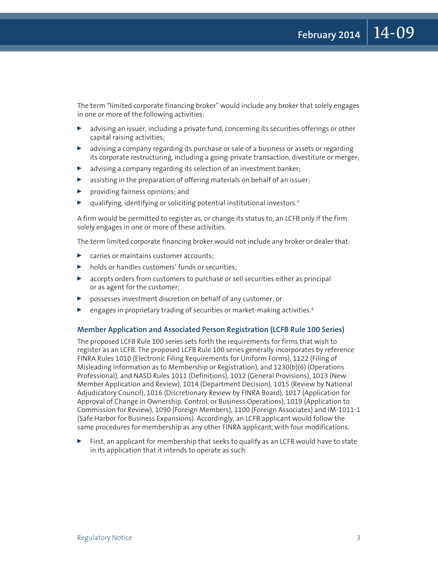The term "limited corporate financing broker" would include any broker that solely engages in one or more of the following activities:

- $\blacktriangleright$  advising an issuer, including a private fund, concerning its securities offerings or other capital raising activities;
- $\blacktriangleright$  advising a company regarding its purchase or sale of a business or assets or regarding its corporate restructuring, including a going-private transaction, divestiture or merger;
- $\blacktriangleright$  advising a company regarding its selection of an investment banker;
- $\triangleright$  assisting in the preparation of offering materials on behalf of an issuer;
- $\blacktriangleright$  providing fairness opinions; and
- qualifying, identifying or soliciting potential institutional investors.<sup>3</sup>

A firm would be permitted to register as, or change its status to, an LCFB only if the firm solely engages in one or more of these activities.

The term limited corporate financing broker would not include any broker or dealer that:

- $\triangleright$  carries or maintains customer accounts;
- $\blacktriangleright$  holds or handles customers' funds or securities;
- **D** accepts orders from customers to purchase or sell securities either as principal or as agent for the customer;
- <sup>0</sup> possesses investment discretion on behalf of any customer; or
- engages in proprietary trading of securities or market-making activities.<sup>4</sup>

#### **Member Application and Associated Person Registration (LCFB Rule 100 Series)**

The proposed LCFB Rule 100 series sets forth the requirements for firms that wish to register as an LCFB. The proposed LCFB Rule 100 series generally incorporates by reference FINRA Rules 1010 (Electronic Filing Requirements for Uniform Forms), 1122 (Filing of Misleading Information as to Membership or Registration), and 1230(b)(6) (Operations Professional), and NASD Rules 1011 (Definitions), 1012 (General Provisions), 1013 (New Member Application and Review), 1014 (Department Decision), 1015 (Review by National Adjudicatory Council), 1016 (Discretionary Review by FINRA Board), 1017 (Application for Approval of Change in Ownership, Control, or Business Operations), 1019 (Application to Commission for Review), 1090 (Foreign Members), 1100 (Foreign Associates) and IM-1011-1 (Safe Harbor for Business Expansions). Accordingly, an LCFB applicant would follow the same procedures for membership as any other FINRA applicant, with four modifications.

First, an applicant for membership that seeks to qualify as an LCFB would have to state in its application that it intends to operate as such.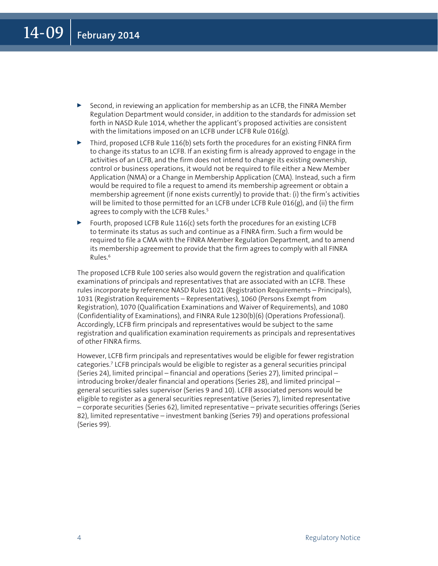- **EXECTED** Second, in reviewing an application for membership as an LCFB, the FINRA Member Regulation Department would consider, in addition to the standards for admission set forth in NASD Rule 1014, whether the applicant's proposed activities are consistent with the limitations imposed on an LCFB under LCFB Rule 016(g).
- $\triangleright$  Third, proposed LCFB Rule 116(b) sets forth the procedures for an existing FINRA firm to change its status to an LCFB. If an existing firm is already approved to engage in the activities of an LCFB, and the firm does not intend to change its existing ownership, control or business operations, it would not be required to file either a New Member Application (NMA) or a Change in Membership Application (CMA). Instead, such a firm would be required to file a request to amend its membership agreement or obtain a membership agreement (if none exists currently) to provide that: (i) the firm's activities will be limited to those permitted for an LCFB under LCFB Rule 016(g), and (ii) the firm agrees to comply with the LCFB Rules.<sup>5</sup>
- $\triangleright$  Fourth, proposed LCFB Rule 116(c) sets forth the procedures for an existing LCFB to terminate its status as such and continue as a FINRA firm. Such a firm would be required to file a CMA with the FINRA Member Regulation Department, and to amend its membership agreement to provide that the firm agrees to comply with all FINRA Rules.6

The proposed LCFB Rule 100 series also would govern the registration and qualification examinations of principals and representatives that are associated with an LCFB. These rules incorporate by reference NASD Rules 1021 (Registration Requirements – Principals), 1031 (Registration Requirements – Representatives), 1060 (Persons Exempt from Registration), 1070 (Qualification Examinations and Waiver of Requirements), and 1080 (Confidentiality of Examinations), and FINRA Rule 1230(b)(6) (Operations Professional). Accordingly, LCFB firm principals and representatives would be subject to the same registration and qualification examination requirements as principals and representatives of other FINRA firms.

However, LCFB firm principals and representatives would be eligible for fewer registration categories.7 LCFB principals would be eligible to register as a general securities principal (Series 24), limited principal – financial and operations (Series 27), limited principal – introducing broker/dealer financial and operations (Series 28), and limited principal – general securities sales supervisor (Series 9 and 10). LCFB associated persons would be eligible to register as a general securities representative (Series 7), limited representative – corporate securities (Series 62), limited representative – private securities offerings (Series 82), limited representative – investment banking (Series 79) and operations professional (Series 99).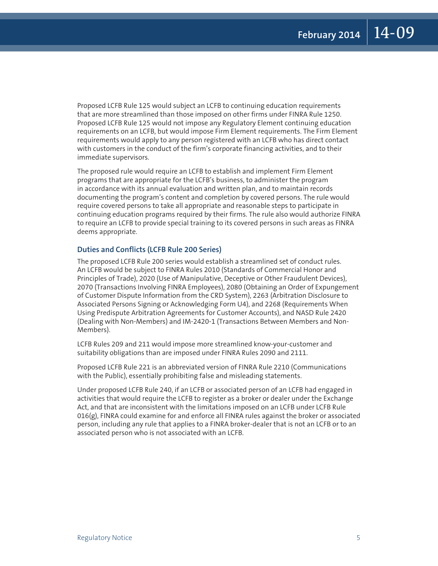Proposed LCFB Rule 125 would subject an LCFB to continuing education requirements that are more streamlined than those imposed on other firms under FINRA Rule 1250. Proposed LCFB Rule 125 would not impose any Regulatory Element continuing education requirements on an LCFB, but would impose Firm Element requirements. The Firm Element requirements would apply to any person registered with an LCFB who has direct contact with customers in the conduct of the firm's corporate financing activities, and to their immediate supervisors.

The proposed rule would require an LCFB to establish and implement Firm Element programs that are appropriate for the LCFB's business, to administer the program in accordance with its annual evaluation and written plan, and to maintain records documenting the program's content and completion by covered persons. The rule would require covered persons to take all appropriate and reasonable steps to participate in continuing education programs required by their firms. The rule also would authorize FINRA to require an LCFB to provide special training to its covered persons in such areas as FINRA deems appropriate.

#### **Duties and Conflicts (LCFB Rule 200 Series)**

The proposed LCFB Rule 200 series would establish a streamlined set of conduct rules. An LCFB would be subject to FINRA Rules 2010 (Standards of Commercial Honor and Principles of Trade), 2020 (Use of Manipulative, Deceptive or Other Fraudulent Devices), 2070 (Transactions Involving FINRA Employees), 2080 (Obtaining an Order of Expungement of Customer Dispute Information from the CRD System), 2263 (Arbitration Disclosure to Associated Persons Signing or Acknowledging Form U4), and 2268 (Requirements When Using Predispute Arbitration Agreements for Customer Accounts), and NASD Rule 2420 (Dealing with Non-Members) and IM-2420-1 (Transactions Between Members and Non-Members).

LCFB Rules 209 and 211 would impose more streamlined know-your-customer and suitability obligations than are imposed under FINRA Rules 2090 and 2111.

Proposed LCFB Rule 221 is an abbreviated version of FINRA Rule 2210 (Communications with the Public), essentially prohibiting false and misleading statements.

Under proposed LCFB Rule 240, if an LCFB or associated person of an LCFB had engaged in activities that would require the LCFB to register as a broker or dealer under the Exchange Act, and that are inconsistent with the limitations imposed on an LCFB under LCFB Rule 016(g), FINRA could examine for and enforce all FINRA rules against the broker or associated person, including any rule that applies to a FINRA broker-dealer that is not an LCFB or to an associated person who is not associated with an LCFB.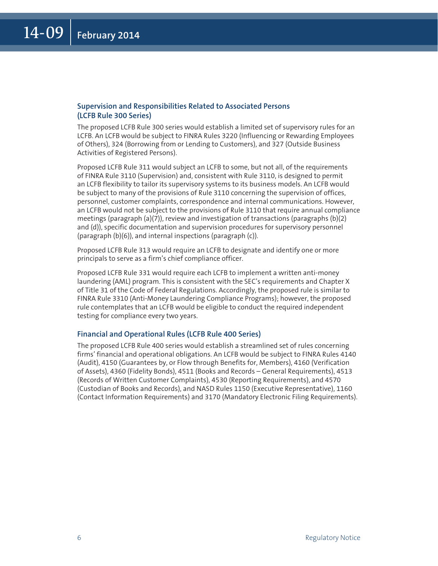#### **Supervision and Responsibilities Related to Associated Persons (LCFB Rule 300 Series)**

The proposed LCFB Rule 300 series would establish a limited set of supervisory rules for an LCFB. An LCFB would be subject to FINRA Rules 3220 (Influencing or Rewarding Employees of Others), 324 (Borrowing from or Lending to Customers), and 327 (Outside Business Activities of Registered Persons).

Proposed LCFB Rule 311 would subject an LCFB to some, but not all, of the requirements of FINRA Rule 3110 (Supervision) and, consistent with Rule 3110, is designed to permit an LCFB flexibility to tailor its supervisory systems to its business models. An LCFB would be subject to many of the provisions of Rule 3110 concerning the supervision of offices, personnel, customer complaints, correspondence and internal communications. However, an LCFB would not be subject to the provisions of Rule 3110 that require annual compliance meetings (paragraph  $(a)(7)$ ), review and investigation of transactions (paragraphs  $(b)(2)$ and (d)), specific documentation and supervision procedures for supervisory personnel (paragraph (b)(6)), and internal inspections (paragraph (c)).

Proposed LCFB Rule 313 would require an LCFB to designate and identify one or more principals to serve as a firm's chief compliance officer.

Proposed LCFB Rule 331 would require each LCFB to implement a written anti-money laundering (AML) program. This is consistent with the SEC's requirements and Chapter X of Title 31 of the Code of Federal Regulations. Accordingly, the proposed rule is similar to FINRA Rule 3310 (Anti-Money Laundering Compliance Programs); however, the proposed rule contemplates that an LCFB would be eligible to conduct the required independent testing for compliance every two years.

#### **Financial and Operational Rules (LCFB Rule 400 Series)**

The proposed LCFB Rule 400 series would establish a streamlined set of rules concerning firms' financial and operational obligations. An LCFB would be subject to FINRA Rules 4140 (Audit), 4150 (Guarantees by, or Flow through Benefits for, Members), 4160 (Verification of Assets), 4360 (Fidelity Bonds), 4511 (Books and Records – General Requirements), 4513 (Records of Written Customer Complaints), 4530 (Reporting Requirements), and 4570 (Custodian of Books and Records), and NASD Rules 1150 (Executive Representative), 1160 (Contact Information Requirements) and 3170 (Mandatory Electronic Filing Requirements).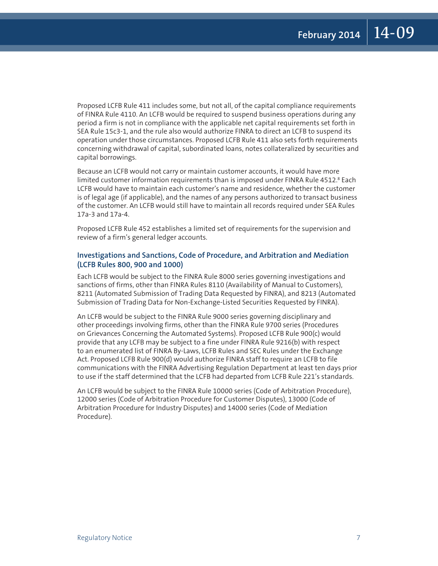Proposed LCFB Rule 411 includes some, but not all, of the capital compliance requirements of FINRA Rule 4110. An LCFB would be required to suspend business operations during any period a firm is not in compliance with the applicable net capital requirements set forth in SEA Rule 15c3-1, and the rule also would authorize FINRA to direct an LCFB to suspend its operation under those circumstances. Proposed LCFB Rule 411 also sets forth requirements concerning withdrawal of capital, subordinated loans, notes collateralized by securities and capital borrowings.

Because an LCFB would not carry or maintain customer accounts, it would have more limited customer information requirements than is imposed under FINRA Rule 4512.8 Each LCFB would have to maintain each customer's name and residence, whether the customer is of legal age (if applicable), and the names of any persons authorized to transact business of the customer. An LCFB would still have to maintain all records required under SEA Rules 17a-3 and 17a-4.

Proposed LCFB Rule 452 establishes a limited set of requirements for the supervision and review of a firm's general ledger accounts.

#### **Investigations and Sanctions, Code of Procedure, and Arbitration and Mediation (LCFB Rules 800, 900 and 1000)**

Each LCFB would be subject to the FINRA Rule 8000 series governing investigations and sanctions of firms, other than FINRA Rules 8110 (Availability of Manual to Customers), 8211 (Automated Submission of Trading Data Requested by FINRA), and 8213 (Automated Submission of Trading Data for Non-Exchange-Listed Securities Requested by FINRA).

An LCFB would be subject to the FINRA Rule 9000 series governing disciplinary and other proceedings involving firms, other than the FINRA Rule 9700 series (Procedures on Grievances Concerning the Automated Systems). Proposed LCFB Rule 900(c) would provide that any LCFB may be subject to a fine under FINRA Rule 9216(b) with respect to an enumerated list of FINRA By-Laws, LCFB Rules and SEC Rules under the Exchange Act. Proposed LCFB Rule 900(d) would authorize FINRA staff to require an LCFB to file communications with the FINRA Advertising Regulation Department at least ten days prior to use if the staff determined that the LCFB had departed from LCFB Rule 221's standards.

An LCFB would be subject to the FINRA Rule 10000 series (Code of Arbitration Procedure), 12000 series (Code of Arbitration Procedure for Customer Disputes), 13000 (Code of Arbitration Procedure for Industry Disputes) and 14000 series (Code of Mediation Procedure).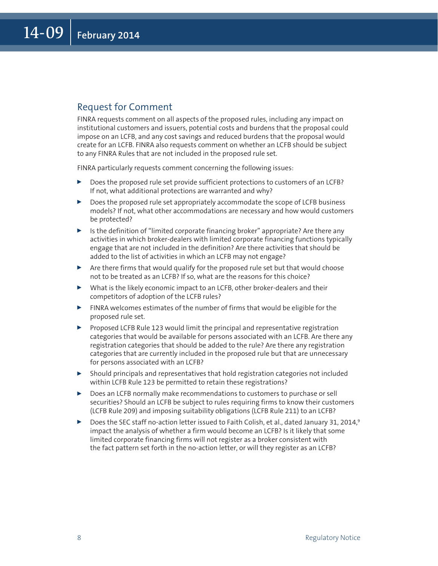#### Request for Comment

FINRA requests comment on all aspects of the proposed rules, including any impact on institutional customers and issuers, potential costs and burdens that the proposal could impose on an LCFB, and any cost savings and reduced burdens that the proposal would create for an LCFB. FINRA also requests comment on whether an LCFB should be subject to any FINRA Rules that are not included in the proposed rule set.

FINRA particularly requests comment concerning the following issues:

- <sup>0</sup> Does the proposed rule set provide sufficient protections to customers of an LCFB? If not, what additional protections are warranted and why?
- $\triangleright$  Does the proposed rule set appropriately accommodate the scope of LCFB business models? If not, what other accommodations are necessary and how would customers be protected?
- $\triangleright$  Is the definition of "limited corporate financing broker" appropriate? Are there any activities in which broker-dealers with limited corporate financing functions typically engage that are not included in the definition? Are there activities that should be added to the list of activities in which an LCFB may not engage?
- $\triangleright$  Are there firms that would qualify for the proposed rule set but that would choose not to be treated as an LCFB? If so, what are the reasons for this choice?
- $\triangleright$  What is the likely economic impact to an LCFB, other broker-dealers and their competitors of adoption of the LCFB rules?
- $\blacktriangleright$  FINRA welcomes estimates of the number of firms that would be eligible for the proposed rule set.
- Proposed LCFB Rule 123 would limit the principal and representative registration categories that would be available for persons associated with an LCFB. Are there any registration categories that should be added to the rule? Are there any registration categories that are currently included in the proposed rule but that are unnecessary for persons associated with an LCFB?
- $\triangleright$  Should principals and representatives that hold registration categories not included within LCFB Rule 123 be permitted to retain these registrations?
- $\triangleright$  Does an LCFB normally make recommendations to customers to purchase or sell securities? Should an LCFB be subject to rules requiring firms to know their customers (LCFB Rule 209) and imposing suitability obligations (LCFB Rule 211) to an LCFB?
- Does the SEC staff no-action letter issued to Faith Colish, et al., dated January 31, 2014,<sup>9</sup> impact the analysis of whether a firm would become an LCFB? Is it likely that some limited corporate financing firms will not register as a broker consistent with the fact pattern set forth in the no-action letter, or will they register as an LCFB?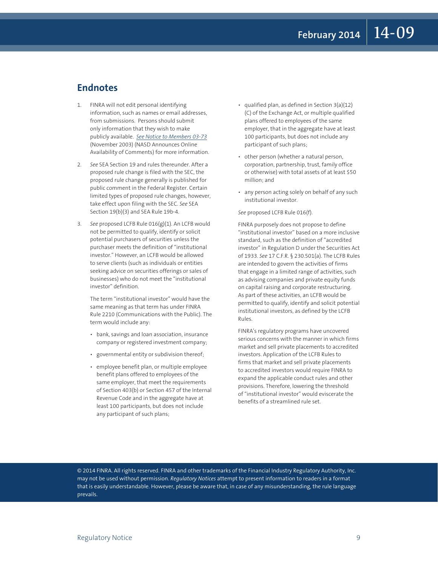#### **Endnotes**

- 1. FINRA will not edit personal identifying information, such as names or email addresses, from submissions. Persons should submit only information that they wish to make publicly available. *[See Notice to Members 03-73](http://www.finra.org/Industry/Regulation/Notices/2003/P003063)* (November 2003) (NASD Announces Online Availability of Comments) for more information.
- 2. *See* SEA Section 19 and rules thereunder. After a proposed rule change is filed with the SEC, the proposed rule change generally is published for public comment in the Federal Register. Certain limited types of proposed rule changes, however, take effect upon filing with the SEC. *See* SEA Section 19(b)(3) and SEA Rule 19b-4.
- 3. *See* proposed LCFB Rule 016(g)(1). An LCFB would not be permitted to qualify, identify or solicit potential purchasers of securities unless the purchaser meets the definition of "institutional investor." However, an LCFB would be allowed to serve clients (such as individuals or entities seeking advice on securities offerings or sales of businesses) who do not meet the "institutional investor" definition.

 The term "institutional investor" would have the same meaning as that term has under FINRA Rule 2210 (Communications with the Public). The term would include any:

- • bank, savings and loan association, insurance company or registered investment company;
- governmental entity or subdivision thereof;
- • employee benefit plan, or multiple employee benefit plans offered to employees of the same employer, that meet the requirements of Section 403(b) or Section 457 of the Internal Revenue Code and in the aggregate have at least 100 participants, but does not include any participant of such plans;
- $\cdot$  qualified plan, as defined in Section 3(a)(12) (C) of the Exchange Act, or multiple qualified plans offered to employees of the same employer, that in the aggregate have at least 100 participants, but does not include any participant of such plans;
- • other person (whether a natural person, corporation, partnership, trust, family office or otherwise) with total assets of at least \$50 million; and
- any person acting solely on behalf of any such institutional investor.

#### *See* proposed LCFB Rule 016(f).

 FINRA purposely does not propose to define "institutional investor" based on a more inclusive standard, such as the definition of "accredited investor" in Regulation D under the Securities Act of 1933. *See* 17 C.F.R. § 230.501(a). The LCFB Rules are intended to govern the activities of firms that engage in a limited range of activities, such as advising companies and private equity funds on capital raising and corporate restructuring. As part of these activities, an LCFB would be permitted to qualify, identify and solicit potential institutional investors, as defined by the LCFB Rules.

 FINRA's regulatory programs have uncovered serious concerns with the manner in which firms market and sell private placements to accredited investors. Application of the LCFB Rules to firms that market and sell private placements to accredited investors would require FINRA to expand the applicable conduct rules and other provisions. Therefore, lowering the threshold of "institutional investor" would eviscerate the benefits of a streamlined rule set.

© 2014 FINRA. All rights reserved. FINRA and other trademarks of the Financial Industry Regulatory Authority, Inc. may not be used without permission. *Regulatory Notices* attempt to present information to readers in a format that is easily understandable. However, please be aware that, in case of any misunderstanding, the rule language prevails.